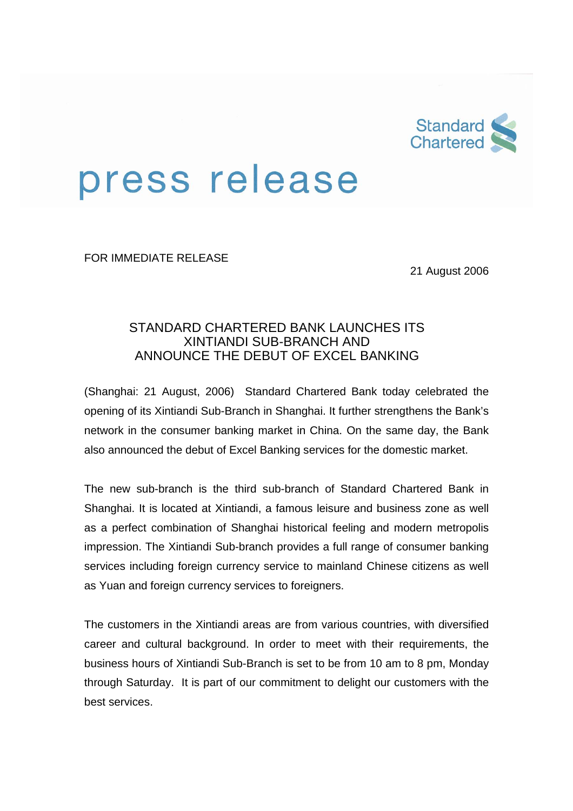

## press release

FOR IMMEDIATE RELEASE

21 August 2006

## STANDARD CHARTERED BANK LAUNCHES ITS XINTIANDI SUB-BRANCH AND ANNOUNCE THE DEBUT OF EXCEL BANKING

(Shanghai: 21 August, 2006) Standard Chartered Bank today celebrated the opening of its Xintiandi Sub-Branch in Shanghai. It further strengthens the Bank's network in the consumer banking market in China. On the same day, the Bank also announced the debut of Excel Banking services for the domestic market.

The new sub-branch is the third sub-branch of Standard Chartered Bank in Shanghai. It is located at Xintiandi, a famous leisure and business zone as well as a perfect combination of Shanghai historical feeling and modern metropolis impression. The Xintiandi Sub-branch provides a full range of consumer banking services including foreign currency service to mainland Chinese citizens as well as Yuan and foreign currency services to foreigners.

The customers in the Xintiandi areas are from various countries, with diversified career and cultural background. In order to meet with their requirements, the business hours of Xintiandi Sub-Branch is set to be from 10 am to 8 pm, Monday through Saturday. It is part of our commitment to delight our customers with the best services.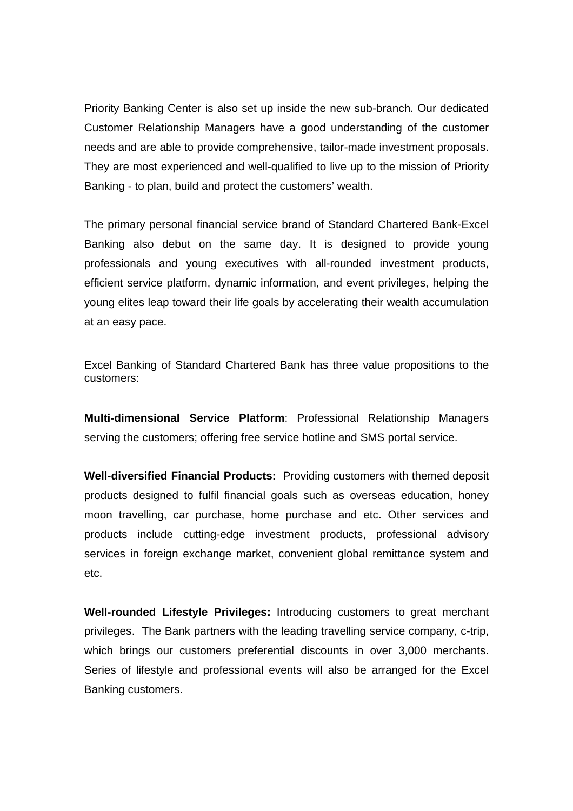Priority Banking Center is also set up inside the new sub-branch. Our dedicated Customer Relationship Managers have a good understanding of the customer needs and are able to provide comprehensive, tailor-made investment proposals. They are most experienced and well-qualified to live up to the mission of Priority Banking - to plan, build and protect the customers' wealth.

The primary personal financial service brand of Standard Chartered Bank-Excel Banking also debut on the same day. It is designed to provide young professionals and young executives with all-rounded investment products, efficient service platform, dynamic information, and event privileges, helping the young elites leap toward their life goals by accelerating their wealth accumulation at an easy pace.

Excel Banking of Standard Chartered Bank has three value propositions to the customers:

**Multi-dimensional Service Platform**: Professional Relationship Managers serving the customers; offering free service hotline and SMS portal service.

**Well-diversified Financial Products:** Providing customers with themed deposit products designed to fulfil financial goals such as overseas education, honey moon travelling, car purchase, home purchase and etc. Other services and products include cutting-edge investment products, professional advisory services in foreign exchange market, convenient global remittance system and etc.

**Well-rounded Lifestyle Privileges:** Introducing customers to great merchant privileges. The Bank partners with the leading travelling service company, c-trip, which brings our customers preferential discounts in over 3,000 merchants. Series of lifestyle and professional events will also be arranged for the Excel Banking customers.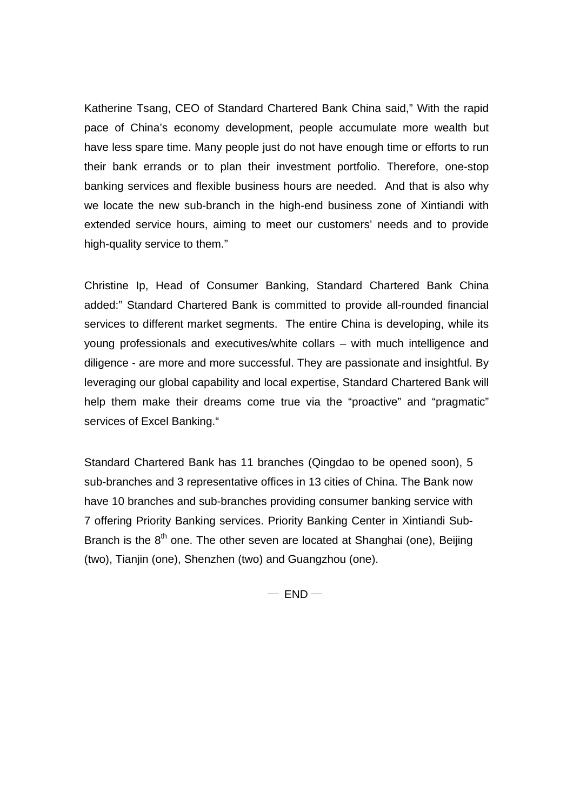Katherine Tsang, CEO of Standard Chartered Bank China said," With the rapid pace of China's economy development, people accumulate more wealth but have less spare time. Many people just do not have enough time or efforts to run their bank errands or to plan their investment portfolio. Therefore, one-stop banking services and flexible business hours are needed. And that is also why we locate the new sub-branch in the high-end business zone of Xintiandi with extended service hours, aiming to meet our customers' needs and to provide high-quality service to them."

Christine Ip, Head of Consumer Banking, Standard Chartered Bank China added:" Standard Chartered Bank is committed to provide all-rounded financial services to different market segments. The entire China is developing, while its young professionals and executives/white collars – with much intelligence and diligence - are more and more successful. They are passionate and insightful. By leveraging our global capability and local expertise, Standard Chartered Bank will help them make their dreams come true via the "proactive" and "pragmatic" services of Excel Banking."

Standard Chartered Bank has 11 branches (Qingdao to be opened soon), 5 sub-branches and 3 representative offices in 13 cities of China. The Bank now have 10 branches and sub-branches providing consumer banking service with 7 offering Priority Banking services. Priority Banking Center in Xintiandi Sub-Branch is the  $8<sup>th</sup>$  one. The other seven are located at Shanghai (one), Beijing (two), Tianjin (one), Shenzhen (two) and Guangzhou (one).

 $-$  END $-$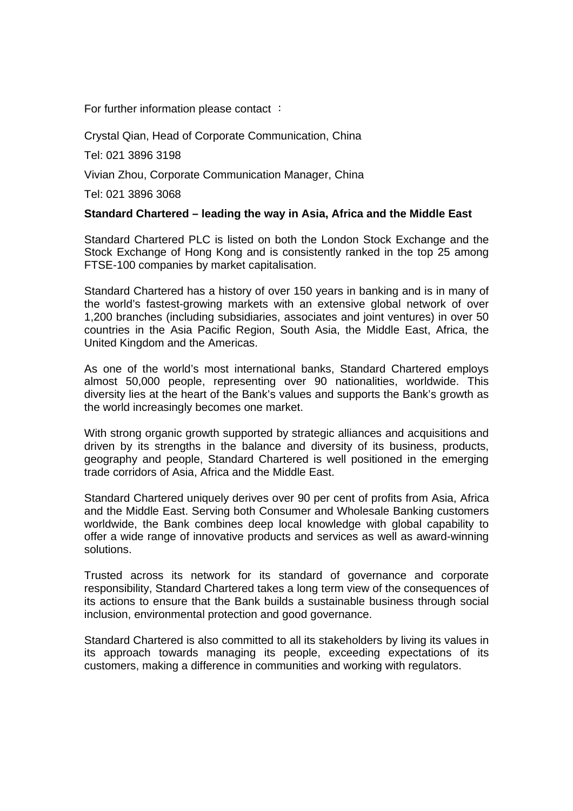For further information please contact :

Crystal Qian, Head of Corporate Communication, China

Tel: 021 3896 3198

Vivian Zhou, Corporate Communication Manager, China

Tel: 021 3896 3068

## **Standard Chartered – leading the way in Asia, Africa and the Middle East**

Standard Chartered PLC is listed on both the London Stock Exchange and the Stock Exchange of Hong Kong and is consistently ranked in the top 25 among FTSE-100 companies by market capitalisation.

Standard Chartered has a history of over 150 years in banking and is in many of the world's fastest-growing markets with an extensive global network of over 1,200 branches (including subsidiaries, associates and joint ventures) in over 50 countries in the Asia Pacific Region, South Asia, the Middle East, Africa, the United Kingdom and the Americas.

As one of the world's most international banks, Standard Chartered employs almost 50,000 people, representing over 90 nationalities, worldwide. This diversity lies at the heart of the Bank's values and supports the Bank's growth as the world increasingly becomes one market.

With strong organic growth supported by strategic alliances and acquisitions and driven by its strengths in the balance and diversity of its business, products, geography and people, Standard Chartered is well positioned in the emerging trade corridors of Asia, Africa and the Middle East.

Standard Chartered uniquely derives over 90 per cent of profits from Asia, Africa and the Middle East. Serving both Consumer and Wholesale Banking customers worldwide, the Bank combines deep local knowledge with global capability to offer a wide range of innovative products and services as well as award-winning solutions.

Trusted across its network for its standard of governance and corporate responsibility, Standard Chartered takes a long term view of the consequences of its actions to ensure that the Bank builds a sustainable business through social inclusion, environmental protection and good governance.

Standard Chartered is also committed to all its stakeholders by living its values in its approach towards managing its people, exceeding expectations of its customers, making a difference in communities and working with regulators.